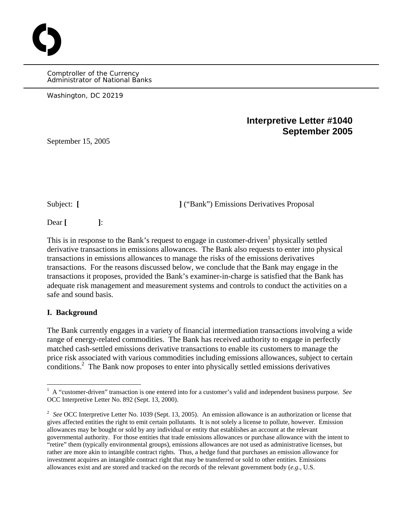Comptroller of the Currency Administrator of National Banks

Washington, DC 20219

# **Interpretive Letter #1040 September 2005**

September 15, 2005

<span id="page-0-1"></span>O

Subject: [ **]** ("Bank") Emissions Derivatives Proposal

Dear **[ ]**:

This is in response to the Bank's request to engage in customer-driven<sup>[1](#page-0-0)</sup> physically settled derivative transactions in emissions allowances. The Bank also requests to enter into physical transactions in emissions allowances to manage the risks of the emissions derivatives transactions. For the reasons discussed below, we conclude that the Bank may engage in the transactions it proposes, provided the Bank's examiner-in-charge is satisfied that the Bank has adequate risk management and measurement systems and controls to conduct the activities on a safe and sound basis.

## **I. Background**

 $\overline{a}$ 

The Bank currently engages in a variety of financial intermediation transactions involving a wide range of energy-related commodities. The Bank has received authority to engage in perfectly matched cash-settled emissions derivative transactions to enable its customers to manage the price risk associated with various commodities including emissions allowances, subject to certain <sub>conditions.</sub><sup>2</sup> The Bank now proposes to enter into physically settled emissions derivatives

<span id="page-0-0"></span><sup>1</sup> A "customer-driven" transaction is one entered into for a customer's valid and independent business purpose. *See*  OCC Interpretive Letter No. 892 (Sept. 13, 2000).

<sup>&</sup>lt;sup>2</sup> See OCC Interpretive Letter No. 1039 (Sept. 13, 2005). An emission allowance is an authorization or license that gives affected entities the right to emit certain pollutants. It is not solely a license to pollute, however. Emission allowances may be bought or sold by any individual or entity that establishes an account at the relevant governmental authority. For those entities that trade emissions allowances or purchase allowance with the intent to "retire" them (typically environmental groups), emissions allowances are not used as administrative licenses, but rather are more akin to intangible contract rights. Thus, a hedge fund that purchases an emission allowance for investment acquires an intangible contract right that may be transferred or sold to other entities. Emissions allowances exist and are stored and tracked on the records of the relevant government body (*e.g*., U.S.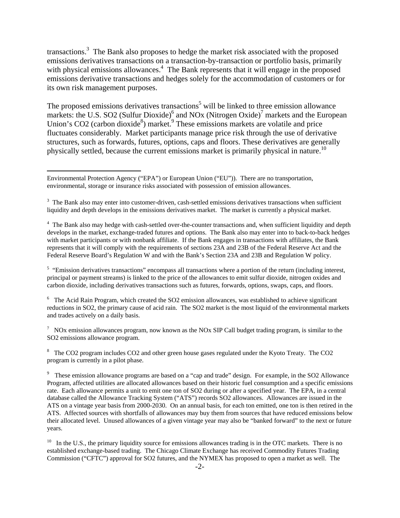<span id="page-1-7"></span>transactions.<sup>3</sup> The Bank also proposes to hedge the market risk associated with the proposed emissions derivatives transactions on a transaction-by-transaction or portfolio basis, primarily with physical emissions allowances.<sup>[4](#page-1-1)</sup> The Bank represents that it will engage in the proposed emissions derivative transactions and hedges solely for the accommodation of customers or for its own risk management purposes.

The proposed emissions derivatives transactions<sup>[5](#page-1-2)</sup> will be linked to three emission allowance markets: the U.S. SO2 (Sulfur Dioxide)<sup>[6](#page-1-3)</sup>and NOx (Nitrogen Oxide)<sup>7</sup> markets and the European Union's CO2 (carbon dioxide<sup>[8](#page-1-5)</sup>) market.<sup>[9](#page-1-6)</sup> These emissions markets are volatile and price fluctuates considerably. Market participants manage price risk through the use of derivative structures, such as forwards, futures, options, caps and floors. These derivatives are generally physically settled, because the current emissions market is primarily physical in nature.<sup>10</sup>

1

<span id="page-1-2"></span><sup>5</sup> "Emission derivatives transactions" encompass all transactions where a portion of the return (including interest, principal or payment streams) is linked to the price of the allowances to emit sulfur dioxide, nitrogen oxides and carbon dioxide, including derivatives transactions such as futures, forwards, options, swaps, caps, and floors.

<span id="page-1-3"></span> $6$  The Acid Rain Program, which created the SO2 emission allowances, was established to achieve significant reductions in SO2, the primary cause of acid rain. The SO2 market is the most liquid of the environmental markets and trades actively on a daily basis.

<span id="page-1-4"></span><sup>7</sup> NOx emission allowances program, now known as the NOx SIP Call budget trading program, is similar to the SO2 emissions allowance program.

<span id="page-1-5"></span><sup>8</sup> The CO2 program includes CO2 and other green house gases regulated under the Kyoto Treaty. The CO2 program is currently in a pilot phase.

<span id="page-1-6"></span><sup>9</sup> These emission allowance programs are based on a "cap and trade" design. For example, in the SO2 Allowance Program, affected utilities are allocated allowances based on their historic fuel consumption and a specific emissions rate. Each allowance permits a unit to emit one ton of SO2 during or after a specified year. The EPA, in a central database called the Allowance Tracking System ("ATS") records SO2 allowances. Allowances are issued in the ATS on a vintage year basis from 2000-2030. On an annual basis, for each ton emitted, one ton is then retired in the ATS. Affected sources with shortfalls of allowances may buy them from sources that have reduced emissions below their allocated level. Unused allowances of a given vintage year may also be "banked forward" to the next or future years.

 $10$  In the U.S., the primary liquidity source for emissions allowances trading is in the OTC markets. There is no established exchange-based trading. The Chicago Climate Exchange has received Commodity Futures Trading Commission ("CFTC") approval for SO2 futures, and the NYMEX has proposed to open a market as well. The

Environmental Protection Agency ("EPA") or European Union ("EU")). There are no transportation, environmental, storage or insurance risks associated with possession of emission allowances.

<span id="page-1-0"></span> $3$  The Bank also may enter into customer-driven, cash-settled emissions derivatives transactions when sufficient liquidity and depth develops in the emissions derivatives market. The market is currently a physical market.

<span id="page-1-1"></span><sup>&</sup>lt;sup>4</sup> The Bank also may hedge with cash-settled over-the-counter transactions and, when sufficient liquidity and depth develops in the market, exchange-traded futures and options. The Bank also may enter into to back-to-back hedges with market participants or with nonbank affiliate. If the Bank engages in transactions with affiliates, the Bank represents that it will comply with the requirements of sections 23A and 23B of the Federal Reserve Act and the Federal Reserve Board's Regulation W and with the Bank's Section 23A and 23B and Regulation W policy.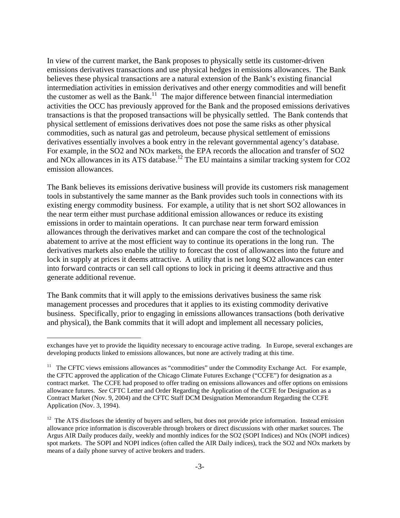In view of the current market, the Bank proposes to physically settle its customer-driven emissions derivatives transactions and use physical hedges in emissions allowances. The Bank believes these physical transactions are a natural extension of the Bank's existing financial intermediation activities in emission derivatives and other energy commodities and will benefit the customer as well as the Bank.<sup>11</sup> The major difference between financial intermediation activities the OCC has previously approved for the Bank and the proposed emissions derivatives transactions is that the proposed transactions will be physically settled. The Bank contends that physical settlement of emissions derivatives does not pose the same risks as other physical commodities, such as natural gas and petroleum, because physical settlement of emissions derivatives essentially involves a book entry in the relevant governmental agency's database. For example, in the SO2 and NOx markets, the EPA records the allocation and transfer of SO2 and NOx allowances in its ATS database.<sup>12</sup> The EU maintains a similar tracking system for CO2 emission allowances.

The Bank believes its emissions derivative business will provide its customers risk management tools in substantively the same manner as the Bank provides such tools in connections with its existing energy commodity business. For example, a utility that is net short SO2 allowances in the near term either must purchase additional emission allowances or reduce its existing emissions in order to maintain operations. It can purchase near term forward emission allowances through the derivatives market and can compare the cost of the technological abatement to arrive at the most efficient way to continue its operations in the long run. The derivatives markets also enable the utility to forecast the cost of allowances into the future and lock in supply at prices it deems attractive. A utility that is net long SO2 allowances can enter into forward contracts or can sell call options to lock in pricing it deems attractive and thus generate additional revenue.

The Bank commits that it will apply to the emissions derivatives business the same risk management processes and procedures that it applies to its existing commodity derivative business. Specifically, prior to engaging in emissions allowances transactions (both derivative and physical), the Bank commits that it will adopt and implement all necessary policies,

1

exchanges have yet to provide the liquidity necessary to encourage active trading. In Europe, several exchanges are developing products linked to emissions allowances, but none are actively trading at this time.

<span id="page-2-0"></span><sup>&</sup>lt;sup>11</sup> The CFTC views emissions allowances as "commodities" under the Commodity Exchange Act. For example, the CFTC approved the application of the Chicago Climate Futures Exchange ("CCFE") for designation as a contract market. The CCFE had proposed to offer trading on emissions allowances and offer options on emissions allowance futures. *See* CFTC Letter and Order Regarding the Application of the CCFE for Designation as a Contract Market (Nov. 9, 2004) and the CFTC Staff DCM Designation Memorandum Regarding the CCFE Application (Nov. 3, 1994).

<span id="page-2-1"></span> $12$  The ATS discloses the identity of buyers and sellers, but does not provide price information. Instead emission allowance price information is discoverable through brokers or direct discussions with other market sources. The Argus AIR Daily produces daily, weekly and monthly indices for the SO2 (SOPI Indices) and NOx (NOPI indices) spot markets. The SOPI and NOPI indices (often called the AIR Daily indices), track the SO2 and NOx markets by means of a daily phone survey of active brokers and traders.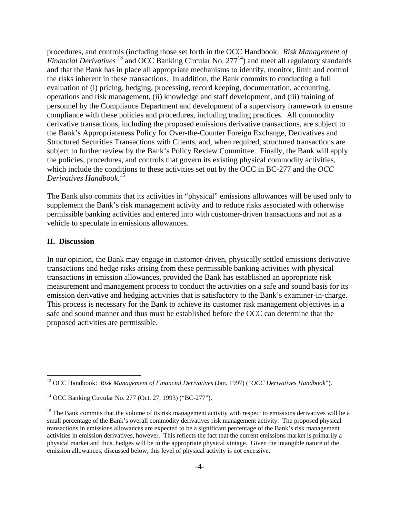procedures, and controls (including those set forth in the OCC Handbook: *Risk Management of Financial Derivatives*<sup>13</sup> and OCC Banking Circular No. 277<sup>14</sup>) and meet all regulatory standards and that the Bank has in place all appropriate mechanisms to identify, monitor, limit and control the risks inherent in these transactions. In addition, the Bank commits to conducting a full evaluation of (i) pricing, hedging, processing, record keeping, documentation, accounting, operations and risk management, (ii) knowledge and staff development, and (iii) training of personnel by the Compliance Department and development of a supervisory framework to ensure compliance with these policies and procedures, including trading practices. All commodity derivative transactions, including the proposed emissions derivative transactions, are subject to the Bank's Appropriateness Policy for Over-the-Counter Foreign Exchange, Derivatives and Structured Securities Transactions with Clients, and, when required, structured transactions are subject to further review by the Bank's Policy Review Committee. Finally, the Bank will apply the policies, procedures, and controls that govern its existing physical commodity activities, which include the conditions to these activities set out by the OCC in BC-277 and the *OCC Derivatives Handbook*. [15](#page-3-2) 

The Bank also commits that its activities in "physical" emissions allowances will be used only to supplement the Bank's risk management activity and to reduce risks associated with otherwise permissible banking activities and entered into with customer-driven transactions and not as a vehicle to speculate in emissions allowances.

#### **II. Discussion**

1

In our opinion, the Bank may engage in customer-driven, physically settled emissions derivative transactions and hedge risks arising from these permissible banking activities with physical transactions in emission allowances, provided the Bank has established an appropriate risk measurement and management process to conduct the activities on a safe and sound basis for its emission derivative and hedging activities that is satisfactory to the Bank's examiner-in-charge. This process is necessary for the Bank to achieve its customer risk management objectives in a safe and sound manner and thus must be established before the OCC can determine that the proposed activities are permissible.

<span id="page-3-0"></span><sup>13</sup> OCC Handbook: *Risk Management of Financial Derivatives* (Jan. 1997) ("*OCC Derivatives Handbook*").

<span id="page-3-1"></span><sup>14</sup> OCC Banking Circular No. 277 (Oct. 27, 1993) ("BC-277").

<span id="page-3-2"></span> $15$  The Bank commits that the volume of its risk management activity with respect to emissions derivatives will be a small percentage of the Bank's overall commodity derivatives risk management activity. The proposed physical transactions in emissions allowances are expected to be a significant percentage of the Bank's risk management activities in emission derivatives, however. This reflects the fact that the current emissions market is primarily a physical market and thus, hedges will be in the appropriate physical vintage. Given the intangible nature of the emission allowances, discussed below, this level of physical activity is not excessive.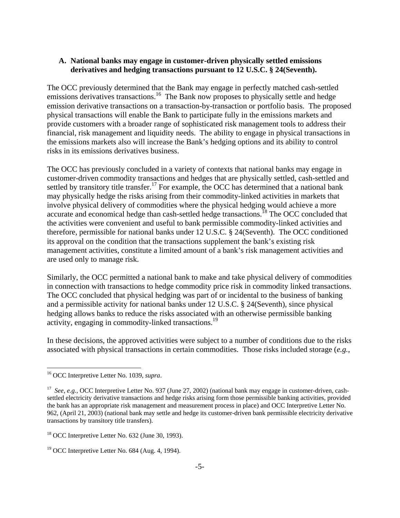## **A. National banks may engage in customer-driven physically settled emissions derivatives and hedging transactions pursuant to 12 U.S.C. § 24(Seventh).**

The OCC previously determined that the Bank may engage in perfectly matched cash-settled emissions derivatives transactions.<sup>16</sup> The Bank now proposes to physically settle and hedge emission derivative transactions on a transaction-by-transaction or portfolio basis. The proposed physical transactions will enable the Bank to participate fully in the emissions markets and provide customers with a broader range of sophisticated risk management tools to address their financial, risk management and liquidity needs. The ability to engage in physical transactions in the emissions markets also will increase the Bank's hedging options and its ability to control risks in its emissions derivatives business.

The OCC has previously concluded in a variety of contexts that national banks may engage in customer-driven commodity transactions and hedges that are physically settled, cash-settled and settled by transitory title transfer.<sup>17</sup> For example, the OCC has determined that a national bank may physically hedge the risks arising from their commodity-linked activities in markets that involve physical delivery of commodities where the physical hedging would achieve a more accurate and economical hedge than cash-settled hedge transactions.<sup>18</sup> The OCC concluded that the activities were convenient and useful to bank permissible commodity-linked activities and therefore, permissible for national banks under 12 U.S.C. § 24(Seventh). The OCC conditioned its approval on the condition that the transactions supplement the bank's existing risk management activities, constitute a limited amount of a bank's risk management activities and are used only to manage risk.

Similarly, the OCC permitted a national bank to make and take physical delivery of commodities in connection with transactions to hedge commodity price risk in commodity linked transactions. The OCC concluded that physical hedging was part of or incidental to the business of banking and a permissible activity for national banks under 12 U.S.C. § 24(Seventh), since physical hedging allows banks to reduce the risks associated with an otherwise permissible banking activity, engaging in commodity-linked transactions.<sup>19</sup>

In these decisions, the approved activities were subject to a number of conditions due to the risks associated with physical transactions in certain commodities. Those risks included storage (*e.g.*,

<u>.</u>

<span id="page-4-0"></span><sup>16</sup> OCC Interpretive Letter No. 1039, *supra*.

<span id="page-4-1"></span><sup>&</sup>lt;sup>17</sup> *See, e.g.*, OCC Interpretive Letter No. 937 (June 27, 2002) (national bank may engage in customer-driven, cashsettled electricity derivative transactions and hedge risks arising form those permissible banking activities, provided the bank has an appropriate risk management and measurement process in place) and OCC Interpretive Letter No. 962, (April 21, 2003) (national bank may settle and hedge its customer-driven bank permissible electricity derivative transactions by transitory title transfers).

<span id="page-4-2"></span> $18$  OCC Interpretive Letter No. 632 (June 30, 1993).

<span id="page-4-3"></span> $19$  OCC Interpretive Letter No. 684 (Aug. 4, 1994).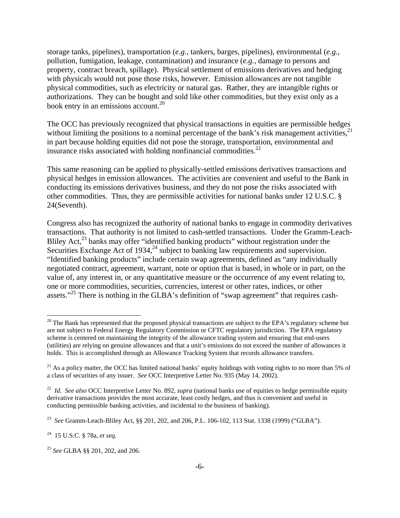storage tanks, pipelines), transportation (*e.g.*, tankers, barges, pipelines), environmental (*e.g.*, pollution, fumigation, leakage, contamination) and insurance (*e.g.*, damage to persons and property, contract breach, spillage). Physical settlement of emissions derivatives and hedging with physicals would not pose those risks, however. Emission allowances are not tangible physical commodities, such as electricity or natural gas. Rather, they are intangible rights or authorizations. They can be bought and sold like other commodities, but they exist only as a book entry in an emissions account.<sup>[20](#page-5-0)</sup>

The OCC has previously recognized that physical transactions in equities are permissible hedges without limiting the positions to a nominal percentage of the bank's risk management activities,  $2<sup>1</sup>$ in part because holding equities did not pose the storage, transportation, environmental and insurance risks associated with holding nonfinancial commodities. $^{22}$ 

This same reasoning can be applied to physically-settled emissions derivatives transactions and physical hedges in emission allowances. The activities are convenient and useful to the Bank in conducting its emissions derivatives business, and they do not pose the risks associated with other commodities. Thus, they are permissible activities for national banks under 12 U.S.C. § 24(Seventh).

Congress also has recognized the authority of national banks to engage in commodity derivatives transactions. That authority is not limited to cash-settled transactions. Under the Gramm-Leach-Bliley Act,<sup>23</sup> banks may offer "identified banking products" without registration under the Securities Exchange Act of 1934,  $^{24}$  subject to banking law requirements and supervision. "Identified banking products" include certain swap agreements, defined as "any individually negotiated contract, agreement, warrant, note or option that is based, in whole or in part, on the value of, any interest in, or any quantitative measure or the occurrence of any event relating to, one or more commodities, securities, currencies, interest or other rates, indices, or other assets."<sup>25</sup> There is nothing in the GLBA's definition of "swap agreement" that requires cash-

1

<span id="page-5-0"></span> $20$  The Bank has represented that the proposed physical transactions are subject to the EPA's regulatory scheme but are not subject to Federal Energy Regulatory Commission or CFTC regulatory jurisdiction. The EPA regulatory scheme is centered on maintaining the integrity of the allowance trading system and ensuring that end-users (utilities) are relying on genuine allowances and that a unit's emissions do not exceed the number of allowances it holds. This is accomplished through an Allowance Tracking System that records allowance transfers.

<span id="page-5-1"></span> $21$  As a policy matter, the OCC has limited national banks' equity holdings with voting rights to no more than 5% of a class of securities of any issuer. *See* OCC Interpretive Letter No. 935 (May 14, 2002).

<span id="page-5-2"></span><sup>&</sup>lt;sup>22</sup> *Id. See also* OCC Interpretive Letter No. 892, *supra* (national banks use of equities to hedge permissible equity derivative transactions provides the most accurate, least costly hedges, and thus is convenient and useful in conducting permissible banking activities, and incidental to the business of banking).

<span id="page-5-3"></span><sup>23</sup> *See* Gramm-Leach-Bliley Act, §§ 201, 202, and 206, P.L. 106-102, 113 Stat. 1338 (1999) ("GLBA").

<span id="page-5-4"></span><sup>24 15</sup> U.S.C. § 78a, *et seq*.

<span id="page-5-5"></span><sup>25</sup> *See* GLBA §§ 201, 202, and 206.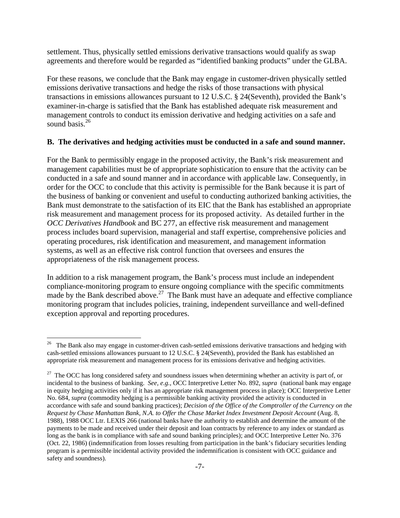settlement. Thus, physically settled emissions derivative transactions would qualify as swap agreements and therefore would be regarded as "identified banking products" under the GLBA.

For these reasons, we conclude that the Bank may engage in customer-driven physically settled emissions derivative transactions and hedge the risks of those transactions with physical transactions in emissions allowances pursuant to 12 U.S.C. § 24(Seventh), provided the Bank's examiner-in-charge is satisfied that the Bank has established adequate risk measurement and management controls to conduct its emission derivative and hedging activities on a safe and sound basis. $26$ 

#### **B. The derivatives and hedging activities must be conducted in a safe and sound manner.**

For the Bank to permissibly engage in the proposed activity, the Bank's risk measurement and management capabilities must be of appropriate sophistication to ensure that the activity can be conducted in a safe and sound manner and in accordance with applicable law. Consequently, in order for the OCC to conclude that this activity is permissible for the Bank because it is part of the business of banking or convenient and useful to conducting authorized banking activities, the Bank must demonstrate to the satisfaction of its EIC that the Bank has established an appropriate risk measurement and management process for its proposed activity. As detailed further in the *OCC Derivatives Handbook* and BC 277, an effective risk measurement and management process includes board supervision, managerial and staff expertise, comprehensive policies and operating procedures, risk identification and measurement, and management information systems, as well as an effective risk control function that oversees and ensures the appropriateness of the risk management process.

In addition to a risk management program, the Bank's process must include an independent compliance-monitoring program to ensure ongoing compliance with the specific commitments made by the Bank described above.<sup>27</sup> The Bank must have an adequate and effective compliance monitoring program that includes policies, training, independent surveillance and well-defined exception approval and reporting procedures.

1

<span id="page-6-0"></span><sup>&</sup>lt;sup>26</sup> The Bank also may engage in customer-driven cash-settled emissions derivative transactions and hedging with cash-settled emissions allowances pursuant to 12 U.S.C. § 24(Seventh), provided the Bank has established an appropriate risk measurement and management process for its emissions derivative and hedging activities.

<span id="page-6-1"></span><sup>&</sup>lt;sup>27</sup> The OCC has long considered safety and soundness issues when determining whether an activity is part of, or incidental to the business of banking. *See, e.g.*, OCC Interpretive Letter No. 892, *supra* (national bank may engage in equity hedging activities only if it has an appropriate risk management process in place); OCC Interpretive Letter No. 684, *supra* (commodity hedging is a permissible banking activity provided the activity is conducted in accordance with safe and sound banking practices); *Decision of the Office of the Comptroller of the Currency on the Request by Chase Manhattan Bank, N.A. to Offer the Chase Market Index Investment Deposit Account* (Aug. 8, 1988), 1988 OCC Ltr. LEXIS 266 (national banks have the authority to establish and determine the amount of the payments to be made and received under their deposit and loan contracts by reference to any index or standard as long as the bank is in compliance with safe and sound banking principles); and OCC Interpretive Letter No. 376 (Oct. 22, 1986) (indemnification from losses resulting from participation in the bank's fiduciary securities lending program is a permissible incidental activity provided the indemnification is consistent with OCC guidance and safety and soundness).